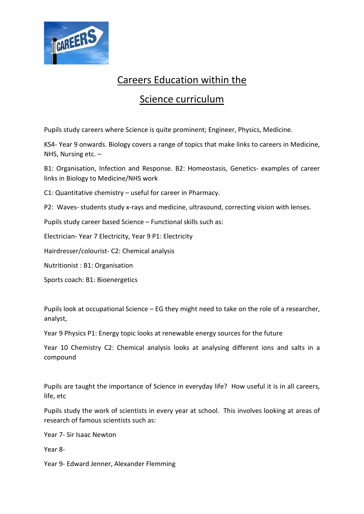

## Careers Education within the

## Science curriculum

Pupils study careers where Science is quite prominent; Engineer, Physics, Medicine.

KS4- Year 9 onwards. Biology covers a range of topics that make links to careers in Medicine, NHS, Nursing etc. –

B1: Organisation, Infection and Response. B2: Homeostasis, Genetics- examples of career links in Biology to Medicine/NHS work

C1: Quantitative chemistry – useful for career in Pharmacy.

P2: Waves- students study x-rays and medicine, ultrasound, correcting vision with lenses.

Pupils study career based Science – Functional skills such as:

Electrician- Year 7 Electricity, Year 9 P1: Electricity

Hairdresser/colourist- C2: Chemical analysis

Nutritionist : B1: Organisation

Sports coach: B1: Bioenergetics

Pupils look at occupational Science – EG they might need to take on the role of a researcher, analyst,

Year 9 Physics P1: Energy topic looks at renewable energy sources for the future

Year 10 Chemistry C2: Chemical analysis looks at analysing different ions and salts in a compound

Pupils are taught the importance of Science in everyday life? How useful it is in all careers, life, etc

Pupils study the work of scientists in every year at school. This involves looking at areas of research of famous scientists such as:

Year 7- Sir Isaac Newton

Year 8-

Year 9- Edward Jenner, Alexander Flemming